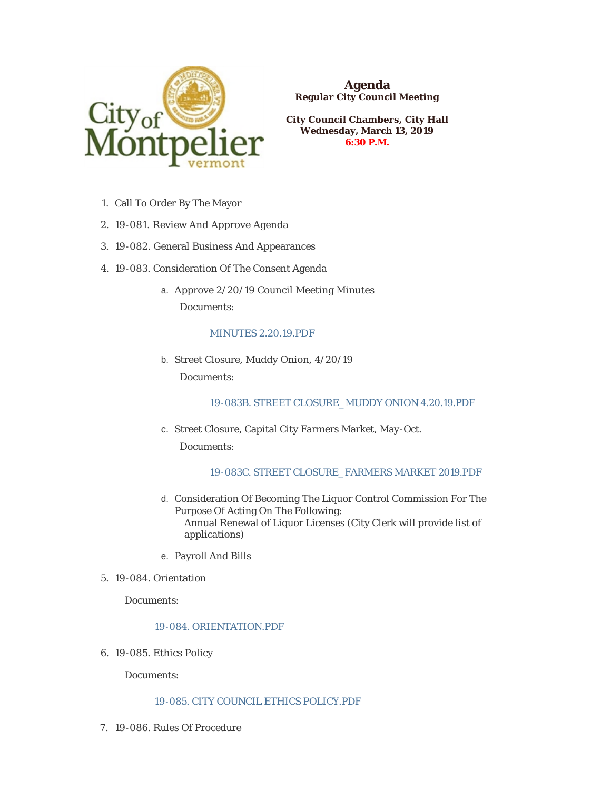

**Agenda Regular City Council Meeting**

**City Council Chambers, City Hall Wednesday, March 13, 2019 6:30 P.M.**

- 1. Call To Order By The Mayor
- 19-081. Review And Approve Agenda 2.
- 19-082. General Business And Appearances 3.
- 4. 19-083. Consideration Of The Consent Agenda
	- a. Approve 2/20/19 Council Meeting Minutes Documents:

## [MINUTES 2.20.19.PDF](https://www.montpelier-vt.org/AgendaCenter/ViewFile/Item/1315?fileID=9627)

b. Street Closure, Muddy Onion,  $4/20/19$ Documents:

# [19-083B. STREET CLOSURE\\_MUDDY ONION 4.20.19.PDF](https://www.montpelier-vt.org/AgendaCenter/ViewFile/Item/1332?fileID=10108)

c. Street Closure, Capital City Farmers Market, May-Oct.

Documents:

# [19-083C. STREET CLOSURE\\_FARMERS MARKET 2019.PDF](https://www.montpelier-vt.org/AgendaCenter/ViewFile/Item/1333?fileID=10024)

- d. Consideration Of Becoming The Liquor Control Commission For The Purpose Of Acting On The Following: Annual Renewal of Liquor Licenses (City Clerk will provide list of applications)
- e. Payroll And Bills
- 19-084. Orientation 5.

Documents:

## [19-084. ORIENTATION.PDF](https://www.montpelier-vt.org/AgendaCenter/ViewFile/Item/1321?fileID=10032)

19-085. Ethics Policy 6.

Documents:

### [19-085. CITY COUNCIL ETHICS POLICY.PDF](https://www.montpelier-vt.org/AgendaCenter/ViewFile/Item/1317?fileID=10027)

7. 19-086. Rules Of Procedure